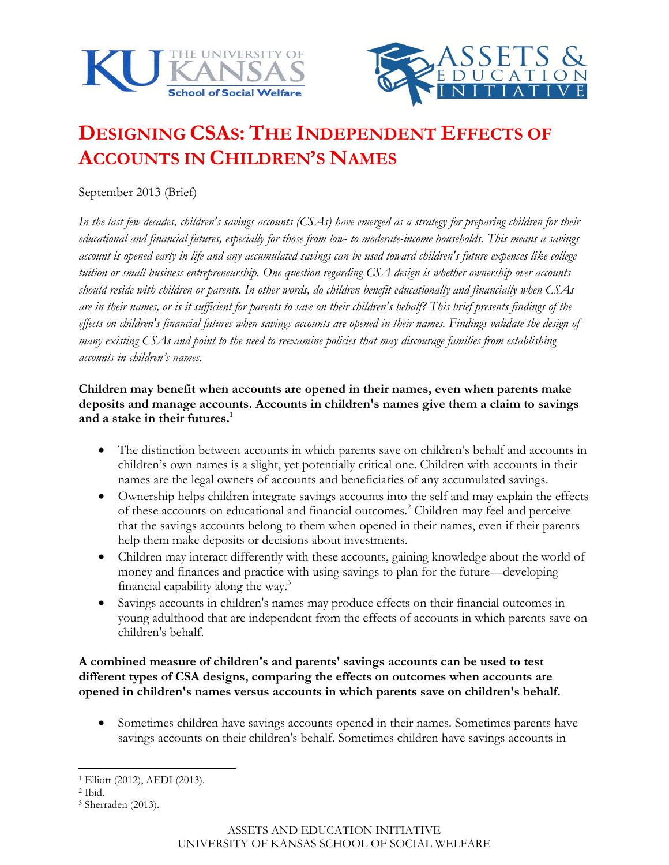



# **DESIGNING CSAS: THE INDEPENDENT EFFECTS OF ACCOUNTS IN CHILDREN'S NAMES**

September 2013 (Brief)

*In the last few decades, children's savings accounts (CSAs) have emerged as a strategy for preparing children for their educational and financial futures, especially for those from low- to moderate-income households. This means a savings account is opened early in life and any accumulated savings can be used toward children's future expenses like college tuition or small business entrepreneurship. One question regarding CSA design is whether ownership over accounts should reside with children or parents. In other words, do children benefit educationally and financially when CSAs are in their names, or is it sufficient for parents to save on their children's behalf? This brief presents findings of the effects on children's financial futures when savings accounts are opened in their names. Findings validate the design of many existing CSAs and point to the need to reexamine policies that may discourage families from establishing accounts in children's names.*

# **Children may benefit when accounts are opened in their names, even when parents make deposits and manage accounts. Accounts in children's names give them a claim to savings and a stake in their futures.<sup>1</sup>**

- The distinction between accounts in which parents save on children's behalf and accounts in children's own names is a slight, yet potentially critical one. Children with accounts in their names are the legal owners of accounts and beneficiaries of any accumulated savings.
- Ownership helps children integrate savings accounts into the self and may explain the effects of these accounts on educational and financial outcomes. <sup>2</sup> Children may feel and perceive that the savings accounts belong to them when opened in their names, even if their parents help them make deposits or decisions about investments.
- Children may interact differently with these accounts, gaining knowledge about the world of money and finances and practice with using savings to plan for the future—developing financial capability along the way.<sup>3</sup>
- Savings accounts in children's names may produce effects on their financial outcomes in young adulthood that are independent from the effects of accounts in which parents save on children's behalf.

# **A combined measure of children's and parents' savings accounts can be used to test different types of CSA designs, comparing the effects on outcomes when accounts are opened in children's names versus accounts in which parents save on children's behalf.**

 Sometimes children have savings accounts opened in their names. Sometimes parents have savings accounts on their children's behalf. Sometimes children have savings accounts in

 $\overline{a}$ <sup>1</sup> Elliott (2012), AEDI (2013).

<sup>2</sup> Ibid.

<sup>3</sup> Sherraden (2013).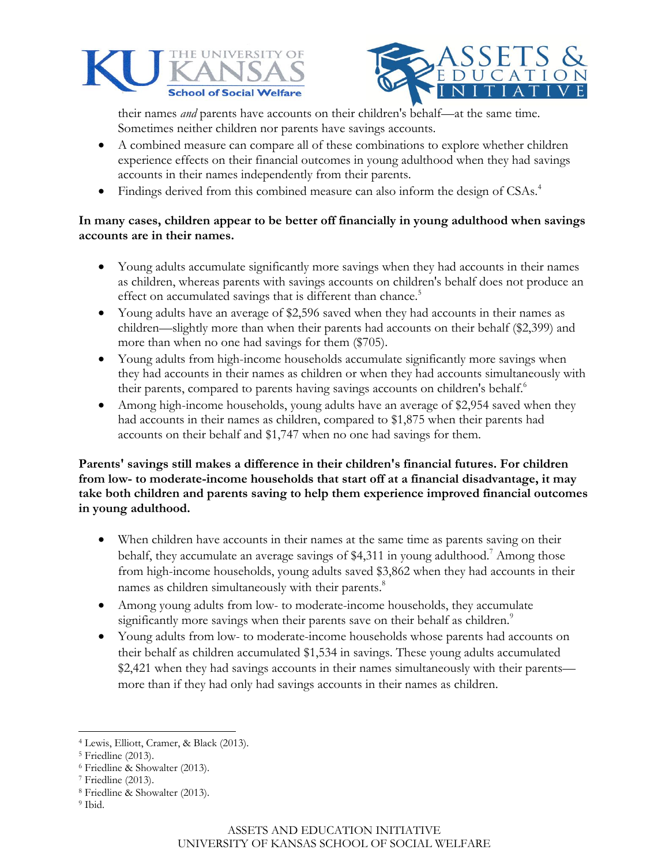



their names *and* parents have accounts on their children's behalf—at the same time. Sometimes neither children nor parents have savings accounts.

- A combined measure can compare all of these combinations to explore whether children experience effects on their financial outcomes in young adulthood when they had savings accounts in their names independently from their parents.
- Findings derived from this combined measure can also inform the design of CSAs.<sup>4</sup>

# **In many cases, children appear to be better off financially in young adulthood when savings accounts are in their names.**

- Young adults accumulate significantly more savings when they had accounts in their names as children, whereas parents with savings accounts on children's behalf does not produce an effect on accumulated savings that is different than chance.<sup>5</sup>
- Young adults have an average of \$2,596 saved when they had accounts in their names as children—slightly more than when their parents had accounts on their behalf (\$2,399) and more than when no one had savings for them (\$705).
- Young adults from high-income households accumulate significantly more savings when they had accounts in their names as children or when they had accounts simultaneously with their parents, compared to parents having savings accounts on children's behalf.<sup>6</sup>
- Among high-income households, young adults have an average of \$2,954 saved when they had accounts in their names as children, compared to \$1,875 when their parents had accounts on their behalf and \$1,747 when no one had savings for them.

**Parents' savings still makes a difference in their children's financial futures. For children from low- to moderate-income households that start off at a financial disadvantage, it may take both children and parents saving to help them experience improved financial outcomes in young adulthood.**

- When children have accounts in their names at the same time as parents saving on their behalf, they accumulate an average savings of \$4,311 in young adulthood. <sup>7</sup> Among those from high-income households, young adults saved \$3,862 when they had accounts in their names as children simultaneously with their parents.<sup>8</sup>
- Among young adults from low- to moderate-income households, they accumulate significantly more savings when their parents save on their behalf as children.<sup>9</sup>
- Young adults from low- to moderate-income households whose parents had accounts on their behalf as children accumulated \$1,534 in savings. These young adults accumulated \$2,421 when they had savings accounts in their names simultaneously with their parents more than if they had only had savings accounts in their names as children.

- <sup>8</sup> Friedline & Showalter (2013).
- <sup>9</sup> Ibid.

 $\overline{a}$ 

<sup>4</sup> Lewis, Elliott, Cramer, & Black (2013).

<sup>5</sup> Friedline (2013).

<sup>6</sup> Friedline & Showalter (2013).

<sup>7</sup> Friedline (2013).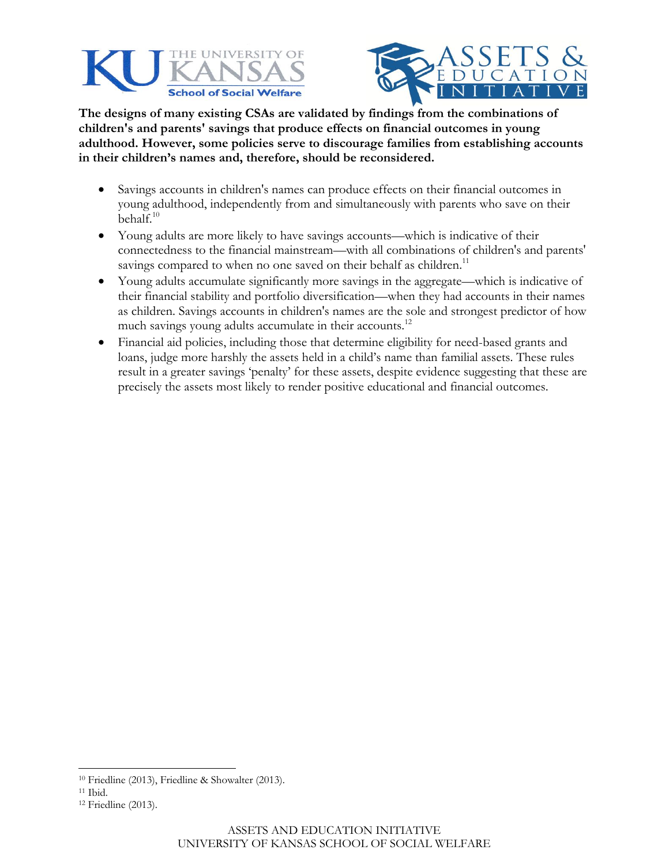



**The designs of many existing CSAs are validated by findings from the combinations of children's and parents' savings that produce effects on financial outcomes in young adulthood. However, some policies serve to discourage families from establishing accounts in their children's names and, therefore, should be reconsidered.**

- Savings accounts in children's names can produce effects on their financial outcomes in young adulthood, independently from and simultaneously with parents who save on their behalf.<sup>10</sup>
- Young adults are more likely to have savings accounts—which is indicative of their connectedness to the financial mainstream—with all combinations of children's and parents' savings compared to when no one saved on their behalf as children.<sup>11</sup>
- Young adults accumulate significantly more savings in the aggregate—which is indicative of their financial stability and portfolio diversification—when they had accounts in their names as children. Savings accounts in children's names are the sole and strongest predictor of how much savings young adults accumulate in their accounts.<sup>12</sup>
- Financial aid policies, including those that determine eligibility for need-based grants and loans, judge more harshly the assets held in a child's name than familial assets. These rules result in a greater savings 'penalty' for these assets, despite evidence suggesting that these are precisely the assets most likely to render positive educational and financial outcomes.

 $\overline{a}$ 

<sup>10</sup> Friedline (2013), Friedline & Showalter (2013).

<sup>11</sup> Ibid.

<sup>12</sup> Friedline (2013).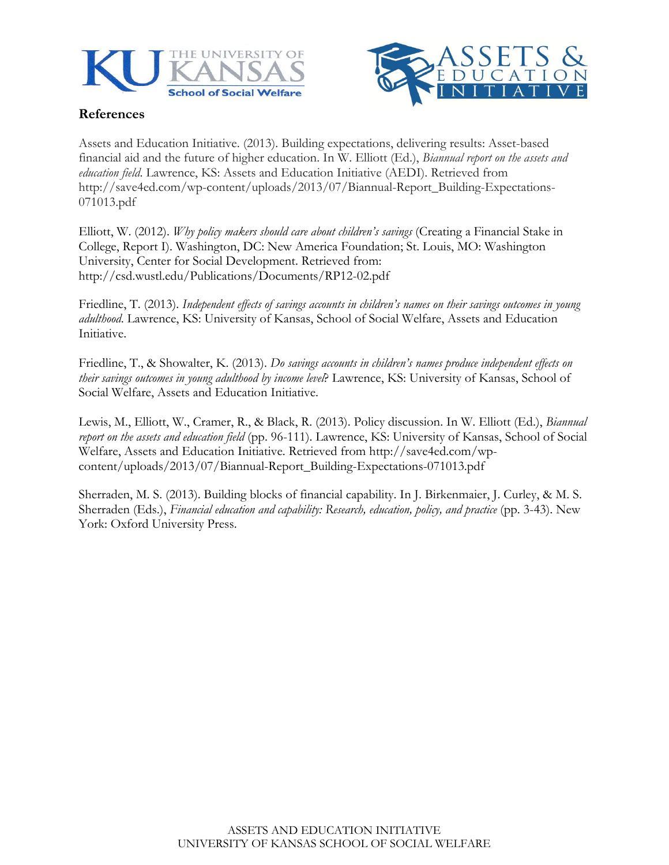



# **References**

Assets and Education Initiative. (2013). Building expectations, delivering results: Asset-based financial aid and the future of higher education. In W. Elliott (Ed.), *Biannual report on the assets and education field*. Lawrence, KS: Assets and Education Initiative (AEDI). Retrieved from http://save4ed.com/wp-content/uploads/2013/07/Biannual-Report\_Building-Expectations-071013.pdf

Elliott, W. (2012). *Why policy makers should care about children's savings* (Creating a Financial Stake in College, Report I). Washington, DC: New America Foundation; St. Louis, MO: Washington University, Center for Social Development. Retrieved from: http://csd.wustl.edu/Publications/Documents/RP12-02.pdf

Friedline, T. (2013). *Independent effects of savings accounts in children's names on their savings outcomes in young adulthood*. Lawrence, KS: University of Kansas, School of Social Welfare, Assets and Education Initiative.

Friedline, T., & Showalter, K. (2013). *Do savings accounts in children's names produce independent effects on their savings outcomes in young adulthood by income level*? Lawrence, KS: University of Kansas, School of Social Welfare, Assets and Education Initiative.

Lewis, M., Elliott, W., Cramer, R., & Black, R. (2013). Policy discussion. In W. Elliott (Ed.), *Biannual report on the assets and education field* (pp. 96-111). Lawrence, KS: University of Kansas, School of Social Welfare, Assets and Education Initiative. Retrieved from http://save4ed.com/wpcontent/uploads/2013/07/Biannual-Report\_Building-Expectations-071013.pdf

Sherraden, M. S. (2013). Building blocks of financial capability. In J. Birkenmaier, J. Curley, & M. S. Sherraden (Eds.), *Financial education and capability: Research, education, policy, and practice* (pp. 3-43). New York: Oxford University Press.